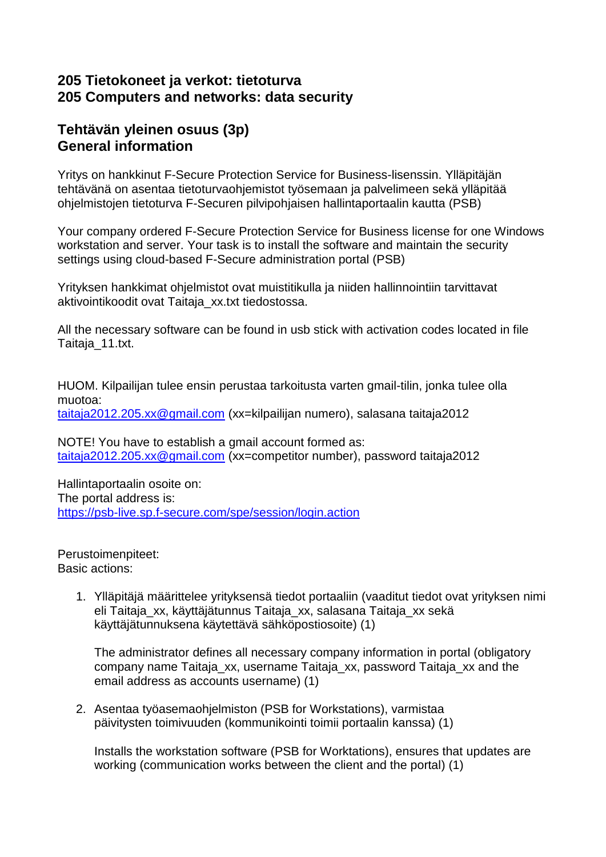#### **205 Tietokoneet ja verkot: tietoturva 205 Computers and networks: data security**

### **Tehtävän yleinen osuus (3p) General information**

Yritys on hankkinut F-Secure Protection Service for Business-lisenssin. Ylläpitäjän tehtävänä on asentaa tietoturvaohjemistot työsemaan ja palvelimeen sekä ylläpitää ohjelmistojen tietoturva F-Securen pilvipohjaisen hallintaportaalin kautta (PSB)

Your company ordered F-Secure Protection Service for Business license for one Windows workstation and server. Your task is to install the software and maintain the security settings using cloud-based F-Secure administration portal (PSB)

Yrityksen hankkimat ohjelmistot ovat muistitikulla ja niiden hallinnointiin tarvittavat aktivointikoodit ovat Taitaja\_xx.txt tiedostossa.

All the necessary software can be found in usb stick with activation codes located in file Taitaja\_11.txt.

HUOM. Kilpailijan tulee ensin perustaa tarkoitusta varten gmail-tilin, jonka tulee olla muotoa: [taitaja2012.205.xx@gmail.com](mailto:taitaja2012.205.xx@gmail.com) (xx=kilpailijan numero), salasana taitaja2012

NOTE! You have to establish a gmail account formed as: [taitaja2012.205.xx@gmail.com](mailto:taitaja2012.205.xx@gmail.com) (xx=competitor number), password taitaja2012

Hallintaportaalin osoite on: The portal address is: <https://psb-live.sp.f-secure.com/spe/session/login.action>

Perustoimenpiteet: Basic actions:

> 1. Ylläpitäjä määrittelee yrityksensä tiedot portaaliin (vaaditut tiedot ovat yrityksen nimi eli Taitaja\_xx, käyttäjätunnus Taitaja\_xx, salasana Taitaja\_xx sekä käyttäjätunnuksena käytettävä sähköpostiosoite) (1)

The administrator defines all necessary company information in portal (obligatory company name Taitaja\_xx, username Taitaja\_xx, password Taitaja\_xx and the email address as accounts username) (1)

2. Asentaa työasemaohjelmiston (PSB for Workstations), varmistaa päivitysten toimivuuden (kommunikointi toimii portaalin kanssa) (1)

Installs the workstation software (PSB for Worktations), ensures that updates are working (communication works between the client and the portal) (1)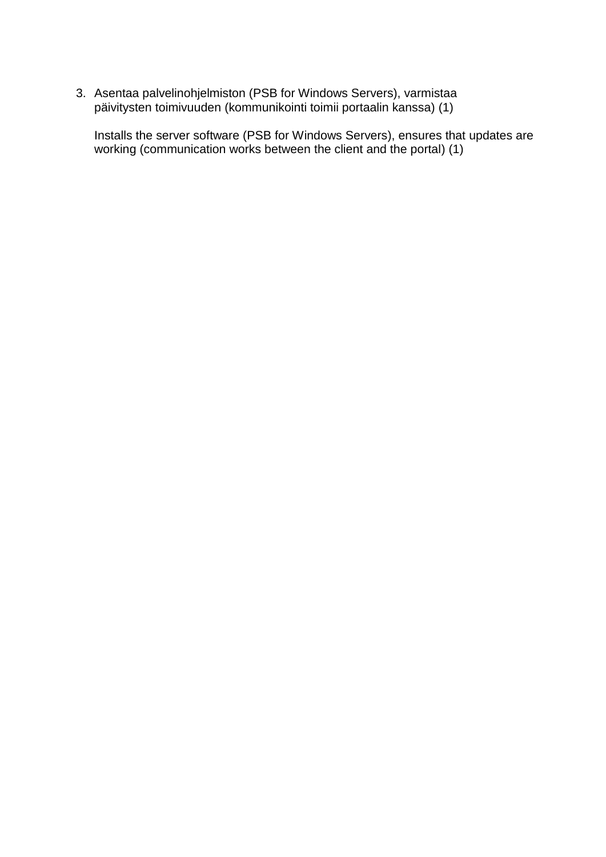3. Asentaa palvelinohjelmiston (PSB for Windows Servers), varmistaa päivitysten toimivuuden (kommunikointi toimii portaalin kanssa) (1)

Installs the server software (PSB for Windows Servers), ensures that updates are working (communication works between the client and the portal) (1)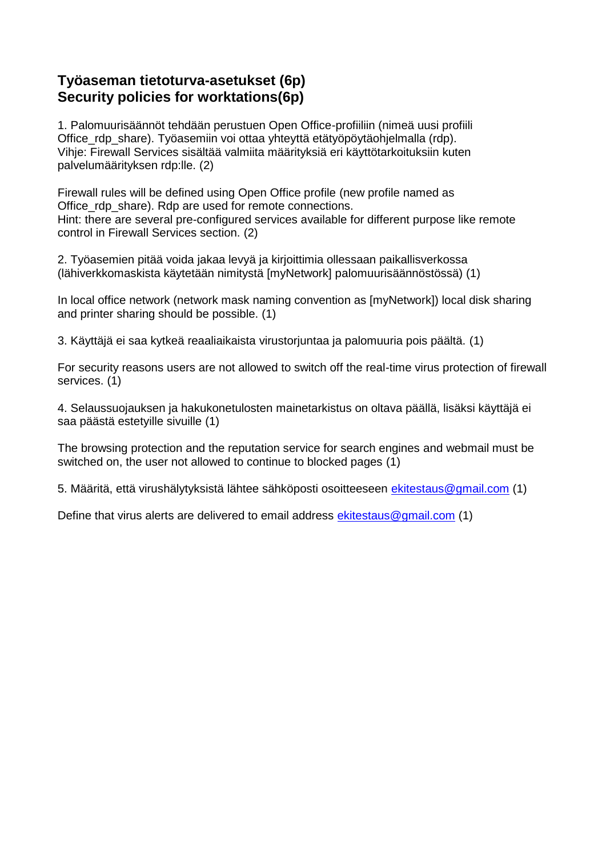## **Työaseman tietoturva-asetukset (6p) Security policies for worktations(6p)**

1. Palomuurisäännöt tehdään perustuen Open Office-profiiliin (nimeä uusi profiili Office\_rdp\_share). Työasemiin voi ottaa yhteyttä etätyöpöytäohjelmalla (rdp). Vihje: Firewall Services sisältää valmiita määrityksiä eri käyttötarkoituksiin kuten palvelumäärityksen rdp:lle. (2)

Firewall rules will be defined using Open Office profile (new profile named as Office\_rdp\_share). Rdp are used for remote connections. Hint: there are several pre-configured services available for different purpose like remote control in Firewall Services section. (2)

2. Työasemien pitää voida jakaa levyä ja kirjoittimia ollessaan paikallisverkossa (lähiverkkomaskista käytetään nimitystä [myNetwork] palomuurisäännöstössä) (1)

In local office network (network mask naming convention as [myNetwork]) local disk sharing and printer sharing should be possible. (1)

3. Käyttäjä ei saa kytkeä reaaliaikaista virustorjuntaa ja palomuuria pois päältä. (1)

For security reasons users are not allowed to switch off the real-time virus protection of firewall services. (1)

4. Selaussuojauksen ja hakukonetulosten mainetarkistus on oltava päällä, lisäksi käyttäjä ei saa päästä estetyille sivuille (1)

The browsing protection and the reputation service for search engines and webmail must be switched on, the user not allowed to continue to blocked pages (1)

5. Määritä, että virushälytyksistä lähtee sähköposti osoitteeseen [ekitestaus@gmail.com](mailto:ekitestaus@gmail.com) (1)

Define that virus alerts are delivered to email address [ekitestaus@gmail.com](mailto:ekitestaus@gmail.com) (1)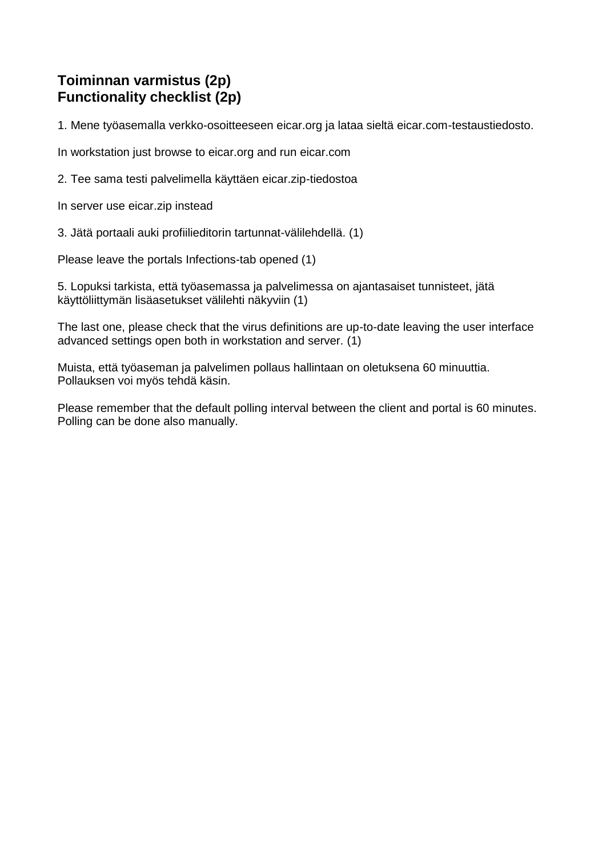# **Toiminnan varmistus (2p) Functionality checklist (2p)**

1. Mene työasemalla verkko-osoitteeseen eicar.org ja lataa sieltä eicar.com-testaustiedosto.

In workstation just browse to eicar.org and run eicar.com

2. Tee sama testi palvelimella käyttäen eicar.zip-tiedostoa

In server use eicar.zip instead

3. Jätä portaali auki profiilieditorin tartunnat-välilehdellä. (1)

Please leave the portals Infections-tab opened (1)

5. Lopuksi tarkista, että työasemassa ja palvelimessa on ajantasaiset tunnisteet, jätä käyttöliittymän lisäasetukset välilehti näkyviin (1)

The last one, please check that the virus definitions are up-to-date leaving the user interface advanced settings open both in workstation and server. (1)

Muista, että työaseman ja palvelimen pollaus hallintaan on oletuksena 60 minuuttia. Pollauksen voi myös tehdä käsin.

Please remember that the default polling interval between the client and portal is 60 minutes. Polling can be done also manually.